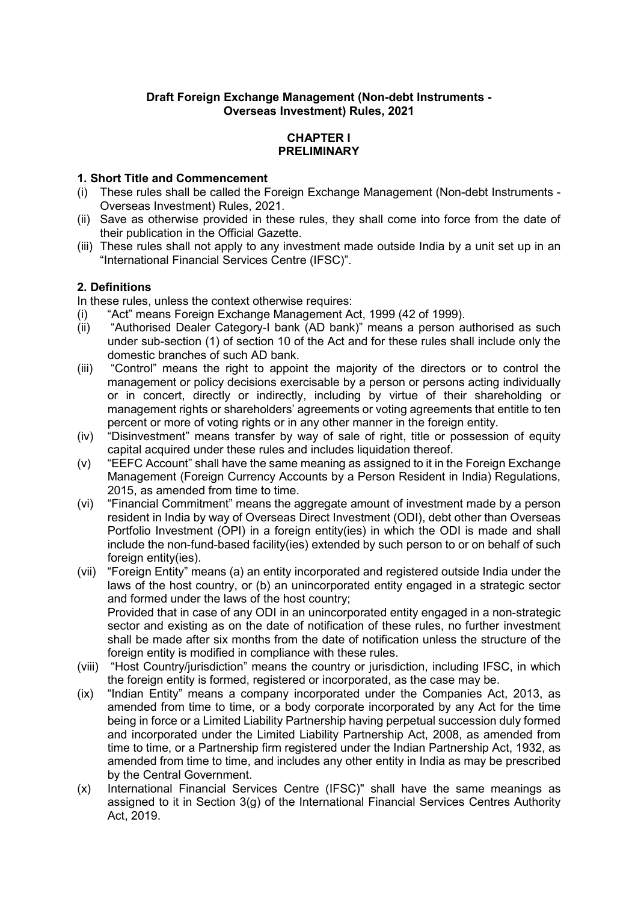## **Draft Foreign Exchange Management (Non-debt Instruments - Overseas Investment) Rules, 2021**

### **CHAPTER I PRELIMINARY**

### **1. Short Title and Commencement**

- (i) These rules shall be called the Foreign Exchange Management (Non-debt Instruments Overseas Investment) Rules, 2021.
- (ii) Save as otherwise provided in these rules, they shall come into force from the date of their publication in the Official Gazette.
- (iii) These rules shall not apply to any investment made outside India by a unit set up in an "International Financial Services Centre (IFSC)".

### **2. Definitions**

In these rules, unless the context otherwise requires:

- (i) "Act" means Foreign Exchange Management Act, 1999 (42 of 1999).
- (ii) "Authorised Dealer Category-I bank (AD bank)" means a person authorised as such under sub-section (1) of section 10 of the Act and for these rules shall include only the domestic branches of such AD bank.
- (iii) "Control" means the right to appoint the majority of the directors or to control the management or policy decisions exercisable by a person or persons acting individually or in concert, directly or indirectly, including by virtue of their shareholding or management rights or shareholders' agreements or voting agreements that entitle to ten percent or more of voting rights or in any other manner in the foreign entity.
- (iv) "Disinvestment" means transfer by way of sale of right, title or possession of equity capital acquired under these rules and includes liquidation thereof.
- (v) "EEFC Account" shall have the same meaning as assigned to it in the Foreign Exchange Management (Foreign Currency Accounts by a Person Resident in India) Regulations, 2015, as amended from time to time.
- (vi) "Financial Commitment" means the aggregate amount of investment made by a person resident in India by way of Overseas Direct Investment (ODI), debt other than Overseas Portfolio Investment (OPI) in a foreign entity(ies) in which the ODI is made and shall include the non-fund-based facility(ies) extended by such person to or on behalf of such foreign entity(ies).
- (vii) "Foreign Entity" means (a) an entity incorporated and registered outside India under the laws of the host country, or (b) an unincorporated entity engaged in a strategic sector and formed under the laws of the host country; Provided that in case of any ODI in an unincorporated entity engaged in a non-strategic sector and existing as on the date of notification of these rules, no further investment shall be made after six months from the date of notification unless the structure of the foreign entity is modified in compliance with these rules.
- (viii) "Host Country/jurisdiction" means the country or jurisdiction, including IFSC, in which the foreign entity is formed, registered or incorporated, as the case may be.
- (ix) "Indian Entity" means a company incorporated under the Companies Act, 2013, as amended from time to time, or a body corporate incorporated by any Act for the time being in force or a Limited Liability Partnership having perpetual succession duly formed and incorporated under the Limited Liability Partnership Act, 2008, as amended from time to time, or a Partnership firm registered under the Indian Partnership Act, 1932, as amended from time to time, and includes any other entity in India as may be prescribed by the Central Government.
- (x) International Financial Services Centre (IFSC)" shall have the same meanings as assigned to it in Section 3(g) of the International Financial Services Centres Authority Act, 2019.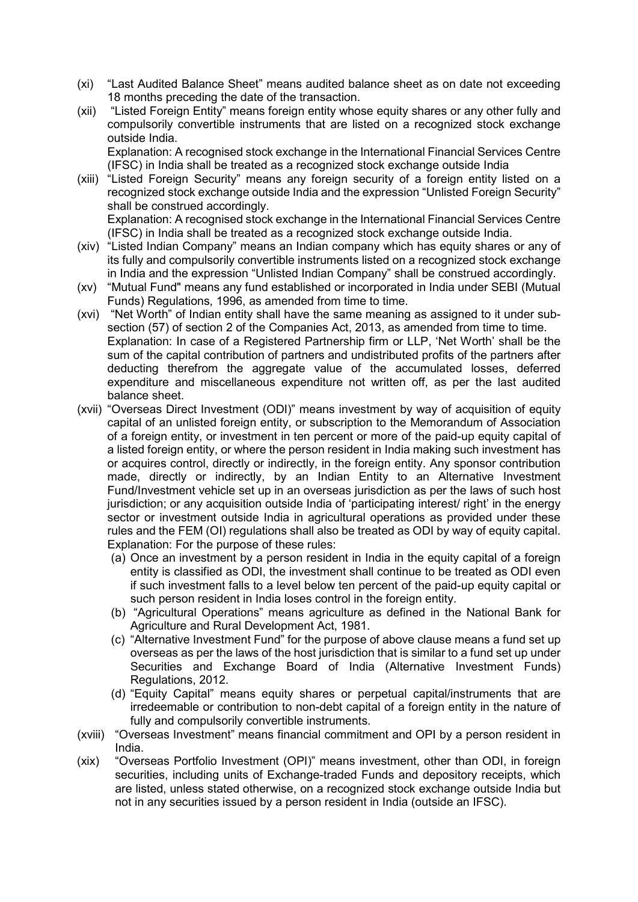- (xi) "Last Audited Balance Sheet" means audited balance sheet as on date not exceeding 18 months preceding the date of the transaction.
- (xii) "Listed Foreign Entity" means foreign entity whose equity shares or any other fully and compulsorily convertible instruments that are listed on a recognized stock exchange outside India.

Explanation: A recognised stock exchange in the International Financial Services Centre (IFSC) in India shall be treated as a recognized stock exchange outside India

(xiii) "Listed Foreign Security" means any foreign security of a foreign entity listed on a recognized stock exchange outside India and the expression "Unlisted Foreign Security" shall be construed accordingly. Explanation: A recognised stock exchange in the International Financial Services Centre

(IFSC) in India shall be treated as a recognized stock exchange outside India.

- (xiv) "Listed Indian Company" means an Indian company which has equity shares or any of its fully and compulsorily convertible instruments listed on a recognized stock exchange in India and the expression "Unlisted Indian Company" shall be construed accordingly.
- (xv) "Mutual Fund" means any fund established or incorporated in India under SEBI (Mutual Funds) Regulations, 1996, as amended from time to time.
- (xvi) "Net Worth" of Indian entity shall have the same meaning as assigned to it under subsection (57) of section 2 of the Companies Act, 2013, as amended from time to time. Explanation: In case of a Registered Partnership firm or LLP, 'Net Worth' shall be the sum of the capital contribution of partners and undistributed profits of the partners after deducting therefrom the aggregate value of the accumulated losses, deferred expenditure and miscellaneous expenditure not written off, as per the last audited balance sheet.
- (xvii) "Overseas Direct Investment (ODI)" means investment by way of acquisition of equity capital of an unlisted foreign entity, or subscription to the Memorandum of Association of a foreign entity, or investment in ten percent or more of the paid-up equity capital of a listed foreign entity, or where the person resident in India making such investment has or acquires control, directly or indirectly, in the foreign entity. Any sponsor contribution made, directly or indirectly, by an Indian Entity to an Alternative Investment Fund/Investment vehicle set up in an overseas jurisdiction as per the laws of such host jurisdiction; or any acquisition outside India of 'participating interest/ right' in the energy sector or investment outside India in agricultural operations as provided under these rules and the FEM (OI) regulations shall also be treated as ODI by way of equity capital. Explanation: For the purpose of these rules:
	- (a) Once an investment by a person resident in India in the equity capital of a foreign entity is classified as ODI, the investment shall continue to be treated as ODI even if such investment falls to a level below ten percent of the paid-up equity capital or such person resident in India loses control in the foreign entity.
	- (b) "Agricultural Operations" means agriculture as defined in the National Bank for Agriculture and Rural Development Act, 1981.
	- (c) "Alternative Investment Fund" for the purpose of above clause means a fund set up overseas as per the laws of the host jurisdiction that is similar to a fund set up under Securities and Exchange Board of India (Alternative Investment Funds) Regulations, 2012.
	- (d) "Equity Capital" means equity shares or perpetual capital/instruments that are irredeemable or contribution to non-debt capital of a foreign entity in the nature of fully and compulsorily convertible instruments.
- (xviii) "Overseas Investment" means financial commitment and OPI by a person resident in India.
- (xix) "Overseas Portfolio Investment (OPI)" means investment, other than ODI, in foreign securities, including units of Exchange-traded Funds and depository receipts, which are listed, unless stated otherwise, on a recognized stock exchange outside India but not in any securities issued by a person resident in India (outside an IFSC).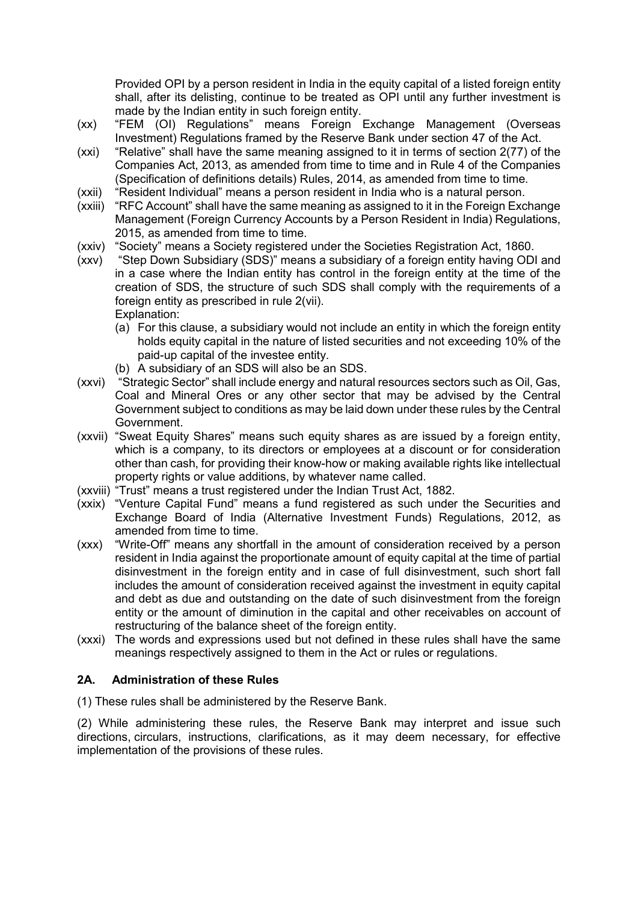Provided OPI by a person resident in India in the equity capital of a listed foreign entity shall, after its delisting, continue to be treated as OPI until any further investment is made by the Indian entity in such foreign entity.

- (xx) "FEM (OI) Regulations" means Foreign Exchange Management (Overseas Investment) Regulations framed by the Reserve Bank under section 47 of the Act.
- (xxi) "Relative" shall have the same meaning assigned to it in terms of section 2(77) of the Companies Act, 2013, as amended from time to time and in Rule 4 of the Companies (Specification of definitions details) Rules, 2014, as amended from time to time.
- (xxii) "Resident Individual" means a person resident in India who is a natural person.<br>(xxiii) "RFC Account" shall have the same meaning as assigned to it in the Foreign Exc
- "RFC Account" shall have the same meaning as assigned to it in the Foreign Exchange Management (Foreign Currency Accounts by a Person Resident in India) Regulations, 2015, as amended from time to time.
- (xxiv) "Society" means a Society registered under the Societies Registration Act, 1860.
- (xxv) "Step Down Subsidiary (SDS)" means a subsidiary of a foreign entity having ODI and in a case where the Indian entity has control in the foreign entity at the time of the creation of SDS, the structure of such SDS shall comply with the requirements of a foreign entity as prescribed in rule 2(vii). Explanation:
	- (a) For this clause, a subsidiary would not include an entity in which the foreign entity holds equity capital in the nature of listed securities and not exceeding 10% of the paid-up capital of the investee entity.
	- (b) A subsidiary of an SDS will also be an SDS.
- (xxvi) "Strategic Sector" shall include energy and natural resources sectors such as Oil, Gas, Coal and Mineral Ores or any other sector that may be advised by the Central Government subject to conditions as may be laid down under these rules by the Central Government.
- (xxvii) "Sweat Equity Shares" means such equity shares as are issued by a foreign entity, which is a company, to its directors or employees at a discount or for consideration other than cash, for providing their know-how or making available rights like intellectual property rights or value additions, by whatever name called.
- (xxviii) "Trust" means a trust registered under the Indian Trust Act, 1882.
- (xxix) "Venture Capital Fund" means a fund registered as such under the Securities and Exchange Board of India (Alternative Investment Funds) Regulations, 2012, as amended from time to time.
- (xxx) "Write-Off" means any shortfall in the amount of consideration received by a person resident in India against the proportionate amount of equity capital at the time of partial disinvestment in the foreign entity and in case of full disinvestment, such short fall includes the amount of consideration received against the investment in equity capital and debt as due and outstanding on the date of such disinvestment from the foreign entity or the amount of diminution in the capital and other receivables on account of restructuring of the balance sheet of the foreign entity.
- (xxxi) The words and expressions used but not defined in these rules shall have the same meanings respectively assigned to them in the Act or rules or regulations.

# **2A. Administration of these Rules**

(1) These rules shall be administered by the Reserve Bank.

(2) While administering these rules, the Reserve Bank may interpret and issue such directions, circulars, instructions, clarifications, as it may deem necessary, for effective implementation of the provisions of these rules.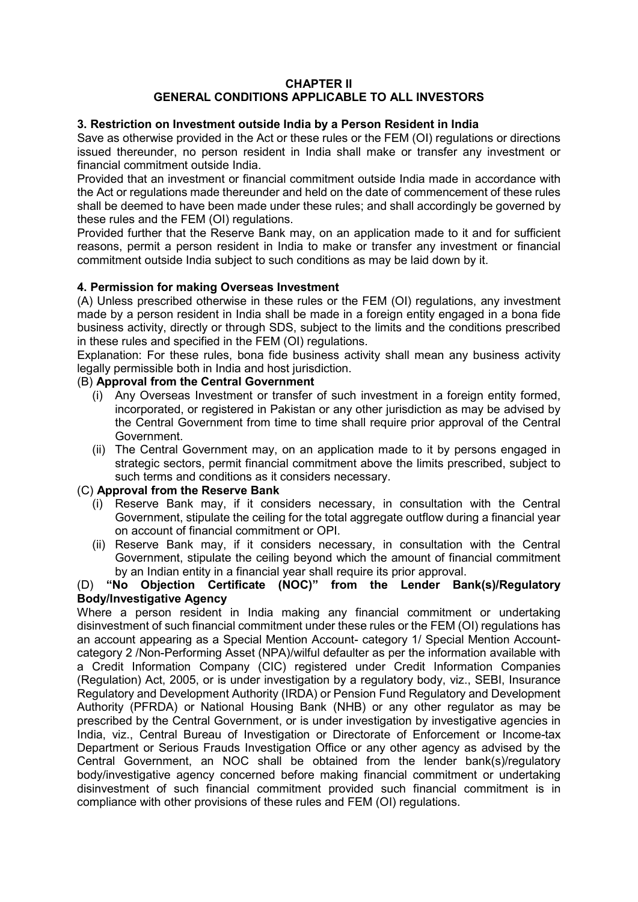#### **CHAPTER II GENERAL CONDITIONS APPLICABLE TO ALL INVESTORS**

### **3. Restriction on Investment outside India by a Person Resident in India**

Save as otherwise provided in the Act or these rules or the FEM (OI) regulations or directions issued thereunder, no person resident in India shall make or transfer any investment or financial commitment outside India.

Provided that an investment or financial commitment outside India made in accordance with the Act or regulations made thereunder and held on the date of commencement of these rules shall be deemed to have been made under these rules; and shall accordingly be governed by these rules and the FEM (OI) regulations.

Provided further that the Reserve Bank may, on an application made to it and for sufficient reasons, permit a person resident in India to make or transfer any investment or financial commitment outside India subject to such conditions as may be laid down by it.

### **4. Permission for making Overseas Investment**

(A) Unless prescribed otherwise in these rules or the FEM (OI) regulations, any investment made by a person resident in India shall be made in a foreign entity engaged in a bona fide business activity, directly or through SDS, subject to the limits and the conditions prescribed in these rules and specified in the FEM (OI) regulations.

Explanation: For these rules, bona fide business activity shall mean any business activity legally permissible both in India and host jurisdiction.

### (B) **Approval from the Central Government**

- (i) Any Overseas Investment or transfer of such investment in a foreign entity formed, incorporated, or registered in Pakistan or any other jurisdiction as may be advised by the Central Government from time to time shall require prior approval of the Central Government.
- (ii) The Central Government may, on an application made to it by persons engaged in strategic sectors, permit financial commitment above the limits prescribed, subject to such terms and conditions as it considers necessary.

### (C) **Approval from the Reserve Bank**

- (i) Reserve Bank may, if it considers necessary, in consultation with the Central Government, stipulate the ceiling for the total aggregate outflow during a financial year on account of financial commitment or OPI.
- (ii) Reserve Bank may, if it considers necessary, in consultation with the Central Government, stipulate the ceiling beyond which the amount of financial commitment by an Indian entity in a financial year shall require its prior approval.

#### (D) **"No Objection Certificate (NOC)" from the Lender Bank(s)/Regulatory Body/Investigative Agency**

Where a person resident in India making any financial commitment or undertaking disinvestment of such financial commitment under these rules or the FEM (OI) regulations has an account appearing as a Special Mention Account- category 1/ Special Mention Accountcategory 2 /Non-Performing Asset (NPA)/wilful defaulter as per the information available with a Credit Information Company (CIC) registered under Credit Information Companies (Regulation) Act, 2005, or is under investigation by a regulatory body, viz., SEBI, Insurance Regulatory and Development Authority (IRDA) or Pension Fund Regulatory and Development Authority (PFRDA) or National Housing Bank (NHB) or any other regulator as may be prescribed by the Central Government, or is under investigation by investigative agencies in India, viz., Central Bureau of Investigation or Directorate of Enforcement or Income-tax Department or Serious Frauds Investigation Office or any other agency as advised by the Central Government, an NOC shall be obtained from the lender bank(s)/regulatory body/investigative agency concerned before making financial commitment or undertaking disinvestment of such financial commitment provided such financial commitment is in compliance with other provisions of these rules and FEM (OI) regulations.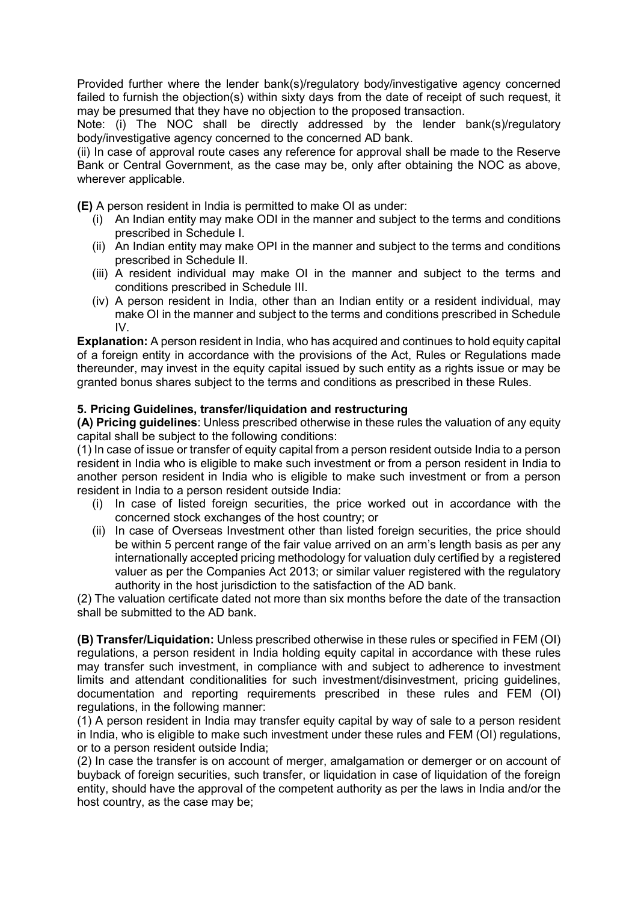Provided further where the lender bank(s)/regulatory body/investigative agency concerned failed to furnish the objection(s) within sixty days from the date of receipt of such request, it may be presumed that they have no objection to the proposed transaction.

Note: (i) The NOC shall be directly addressed by the lender bank(s)/regulatory body/investigative agency concerned to the concerned AD bank.

(ii) In case of approval route cases any reference for approval shall be made to the Reserve Bank or Central Government, as the case may be, only after obtaining the NOC as above, wherever applicable.

**(E)** A person resident in India is permitted to make OI as under:

- (i) An Indian entity may make ODI in the manner and subject to the terms and conditions prescribed in Schedule I.
- (ii) An Indian entity may make OPI in the manner and subject to the terms and conditions prescribed in Schedule II.
- (iii) A resident individual may make OI in the manner and subject to the terms and conditions prescribed in Schedule III.
- (iv) A person resident in India, other than an Indian entity or a resident individual, may make OI in the manner and subject to the terms and conditions prescribed in Schedule IV.

**Explanation:** A person resident in India, who has acquired and continues to hold equity capital of a foreign entity in accordance with the provisions of the Act, Rules or Regulations made thereunder, may invest in the equity capital issued by such entity as a rights issue or may be granted bonus shares subject to the terms and conditions as prescribed in these Rules.

### **5. Pricing Guidelines, transfer/liquidation and restructuring**

**(A) Pricing guidelines**: Unless prescribed otherwise in these rules the valuation of any equity capital shall be subject to the following conditions:

(1) In case of issue or transfer of equity capital from a person resident outside India to a person resident in India who is eligible to make such investment or from a person resident in India to another person resident in India who is eligible to make such investment or from a person resident in India to a person resident outside India:

- (i) In case of listed foreign securities, the price worked out in accordance with the concerned stock exchanges of the host country; or
- (ii) In case of Overseas Investment other than listed foreign securities, the price should be within 5 percent range of the fair value arrived on an arm's length basis as per any internationally accepted pricing methodology for valuation duly certified by a registered valuer as per the Companies Act 2013; or similar valuer registered with the regulatory authority in the host jurisdiction to the satisfaction of the AD bank.

(2) The valuation certificate dated not more than six months before the date of the transaction shall be submitted to the AD bank.

**(B) Transfer/Liquidation:** Unless prescribed otherwise in these rules or specified in FEM (OI) regulations, a person resident in India holding equity capital in accordance with these rules may transfer such investment, in compliance with and subject to adherence to investment limits and attendant conditionalities for such investment/disinvestment, pricing guidelines, documentation and reporting requirements prescribed in these rules and FEM (OI) regulations, in the following manner:

(1) A person resident in India may transfer equity capital by way of sale to a person resident in India, who is eligible to make such investment under these rules and FEM (OI) regulations, or to a person resident outside India;

(2) In case the transfer is on account of merger, amalgamation or demerger or on account of buyback of foreign securities, such transfer, or liquidation in case of liquidation of the foreign entity, should have the approval of the competent authority as per the laws in India and/or the host country, as the case may be;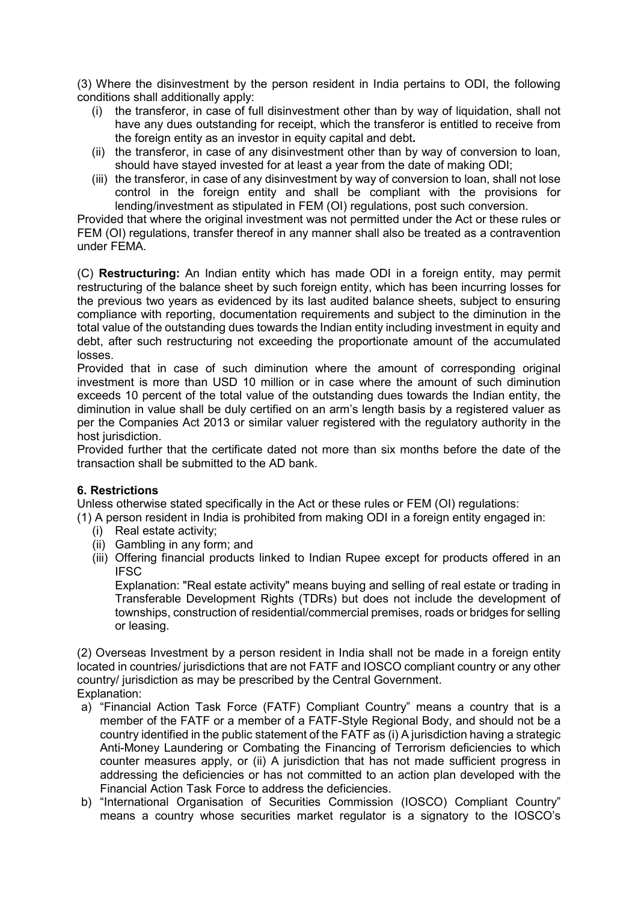(3) Where the disinvestment by the person resident in India pertains to ODI, the following conditions shall additionally apply:

- (i) the transferor, in case of full disinvestment other than by way of liquidation, shall not have any dues outstanding for receipt, which the transferor is entitled to receive from the foreign entity as an investor in equity capital and debt**.**
- (ii) the transferor, in case of any disinvestment other than by way of conversion to loan, should have stayed invested for at least a year from the date of making ODI;
- (iii) the transferor, in case of any disinvestment by way of conversion to loan, shall not lose control in the foreign entity and shall be compliant with the provisions for lending/investment as stipulated in FEM (OI) regulations, post such conversion.

Provided that where the original investment was not permitted under the Act or these rules or FEM (OI) regulations, transfer thereof in any manner shall also be treated as a contravention under FEMA.

(C) **Restructuring:** An Indian entity which has made ODI in a foreign entity, may permit restructuring of the balance sheet by such foreign entity, which has been incurring losses for the previous two years as evidenced by its last audited balance sheets, subject to ensuring compliance with reporting, documentation requirements and subject to the diminution in the total value of the outstanding dues towards the Indian entity including investment in equity and debt, after such restructuring not exceeding the proportionate amount of the accumulated losses.

Provided that in case of such diminution where the amount of corresponding original investment is more than USD 10 million or in case where the amount of such diminution exceeds 10 percent of the total value of the outstanding dues towards the Indian entity, the diminution in value shall be duly certified on an arm's length basis by a registered valuer as per the Companies Act 2013 or similar valuer registered with the regulatory authority in the host jurisdiction.

Provided further that the certificate dated not more than six months before the date of the transaction shall be submitted to the AD bank.

### **6. Restrictions**

Unless otherwise stated specifically in the Act or these rules or FEM (OI) regulations:

- (1) A person resident in India is prohibited from making ODI in a foreign entity engaged in:
	- (i) Real estate activity;
	- (ii) Gambling in any form; and
	- (iii) Offering financial products linked to Indian Rupee except for products offered in an IFSC

Explanation: "Real estate activity" means buying and selling of real estate or trading in Transferable Development Rights (TDRs) but does not include the development of townships, construction of residential/commercial premises, roads or bridges for selling or leasing.

(2) Overseas Investment by a person resident in India shall not be made in a foreign entity located in countries/ jurisdictions that are not FATF and IOSCO compliant country or any other country/ jurisdiction as may be prescribed by the Central Government. Explanation:

- a) "Financial Action Task Force (FATF) Compliant Country" means a country that is a member of the FATF or a member of a FATF-Style Regional Body, and should not be a country identified in the public statement of the FATF as (i) A jurisdiction having a strategic Anti-Money Laundering or Combating the Financing of Terrorism deficiencies to which counter measures apply, or (ii) A jurisdiction that has not made sufficient progress in addressing the deficiencies or has not committed to an action plan developed with the Financial Action Task Force to address the deficiencies.
- b) "International Organisation of Securities Commission (IOSCO) Compliant Country" means a country whose securities market regulator is a signatory to the IOSCO's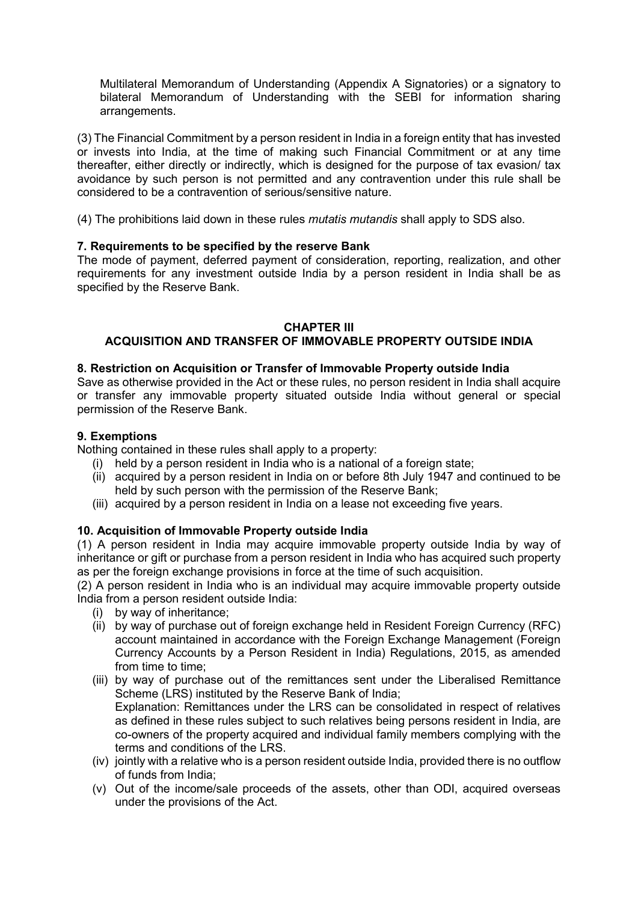Multilateral Memorandum of Understanding (Appendix A Signatories) or a signatory to bilateral Memorandum of Understanding with the SEBI for information sharing arrangements.

(3) The Financial Commitment by a person resident in India in a foreign entity that has invested or invests into India, at the time of making such Financial Commitment or at any time thereafter, either directly or indirectly, which is designed for the purpose of tax evasion/ tax avoidance by such person is not permitted and any contravention under this rule shall be considered to be a contravention of serious/sensitive nature.

(4) The prohibitions laid down in these rules *mutatis mutandis* shall apply to SDS also.

## **7. Requirements to be specified by the reserve Bank**

The mode of payment, deferred payment of consideration, reporting, realization, and other requirements for any investment outside India by a person resident in India shall be as specified by the Reserve Bank.

#### **CHAPTER III**

## **ACQUISITION AND TRANSFER OF IMMOVABLE PROPERTY OUTSIDE INDIA**

## **8. Restriction on Acquisition or Transfer of Immovable Property outside India**

Save as otherwise provided in the Act or these rules, no person resident in India shall acquire or transfer any immovable property situated outside India without general or special permission of the Reserve Bank.

### **9. Exemptions**

Nothing contained in these rules shall apply to a property:

- (i) held by a person resident in India who is a national of a foreign state;
- (ii) acquired by a person resident in India on or before 8th July 1947 and continued to be held by such person with the permission of the Reserve Bank;
- (iii) acquired by a person resident in India on a lease not exceeding five years.

### **10. Acquisition of Immovable Property outside India**

(1) A person resident in India may acquire immovable property outside India by way of inheritance or gift or purchase from a person resident in India who has acquired such property as per the foreign exchange provisions in force at the time of such acquisition.

(2) A person resident in India who is an individual may acquire immovable property outside India from a person resident outside India:

- (i) by way of inheritance;
- (ii) by way of purchase out of foreign exchange held in Resident Foreign Currency (RFC) account maintained in accordance with the Foreign Exchange Management (Foreign Currency Accounts by a Person Resident in India) Regulations, 2015, as amended from time to time;
- (iii) by way of purchase out of the remittances sent under the Liberalised Remittance Scheme (LRS) instituted by the Reserve Bank of India; Explanation: Remittances under the LRS can be consolidated in respect of relatives as defined in these rules subject to such relatives being persons resident in India, are co-owners of the property acquired and individual family members complying with the terms and conditions of the LRS.
- (iv) jointly with a relative who is a person resident outside India, provided there is no outflow of funds from India;
- (v) Out of the income/sale proceeds of the assets, other than ODI, acquired overseas under the provisions of the Act.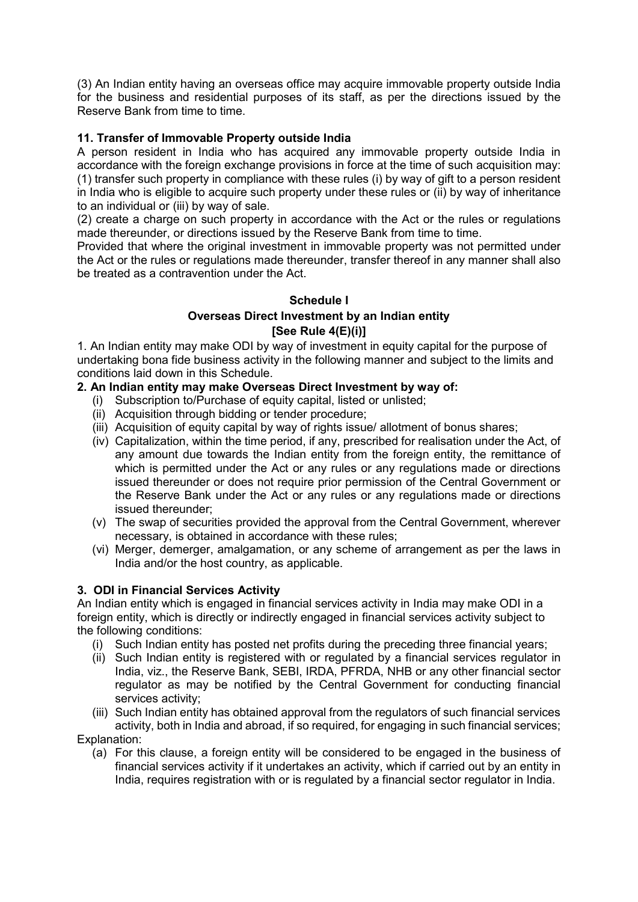(3) An Indian entity having an overseas office may acquire immovable property outside India for the business and residential purposes of its staff, as per the directions issued by the Reserve Bank from time to time.

# **11. Transfer of Immovable Property outside India**

A person resident in India who has acquired any immovable property outside India in accordance with the foreign exchange provisions in force at the time of such acquisition may: (1) transfer such property in compliance with these rules (i) by way of gift to a person resident in India who is eligible to acquire such property under these rules or (ii) by way of inheritance to an individual or (iii) by way of sale.

(2) create a charge on such property in accordance with the Act or the rules or regulations made thereunder, or directions issued by the Reserve Bank from time to time.

Provided that where the original investment in immovable property was not permitted under the Act or the rules or regulations made thereunder, transfer thereof in any manner shall also be treated as a contravention under the Act.

## **Schedule I Overseas Direct Investment by an Indian entity [See Rule 4(E)(i)]**

1. An Indian entity may make ODI by way of investment in equity capital for the purpose of undertaking bona fide business activity in the following manner and subject to the limits and conditions laid down in this Schedule.

### **2. An Indian entity may make Overseas Direct Investment by way of:**

- (i) Subscription to/Purchase of equity capital, listed or unlisted;
- (ii) Acquisition through bidding or tender procedure;
- (iii) Acquisition of equity capital by way of rights issue/ allotment of bonus shares;
- (iv) Capitalization, within the time period, if any, prescribed for realisation under the Act, of any amount due towards the Indian entity from the foreign entity, the remittance of which is permitted under the Act or any rules or any regulations made or directions issued thereunder or does not require prior permission of the Central Government or the Reserve Bank under the Act or any rules or any regulations made or directions issued thereunder;
- (v) The swap of securities provided the approval from the Central Government, wherever necessary, is obtained in accordance with these rules;
- (vi) Merger, demerger, amalgamation, or any scheme of arrangement as per the laws in India and/or the host country, as applicable.

# **3. ODI in Financial Services Activity**

An Indian entity which is engaged in financial services activity in India may make ODI in a foreign entity, which is directly or indirectly engaged in financial services activity subject to the following conditions:

- (i) Such Indian entity has posted net profits during the preceding three financial years;
- (ii) Such Indian entity is registered with or regulated by a financial services regulator in India, viz., the Reserve Bank, SEBI, IRDA, PFRDA, NHB or any other financial sector regulator as may be notified by the Central Government for conducting financial services activity;

(iii) Such Indian entity has obtained approval from the regulators of such financial services activity, both in India and abroad, if so required, for engaging in such financial services; Explanation:

(a) For this clause, a foreign entity will be considered to be engaged in the business of financial services activity if it undertakes an activity, which if carried out by an entity in India, requires registration with or is regulated by a financial sector regulator in India.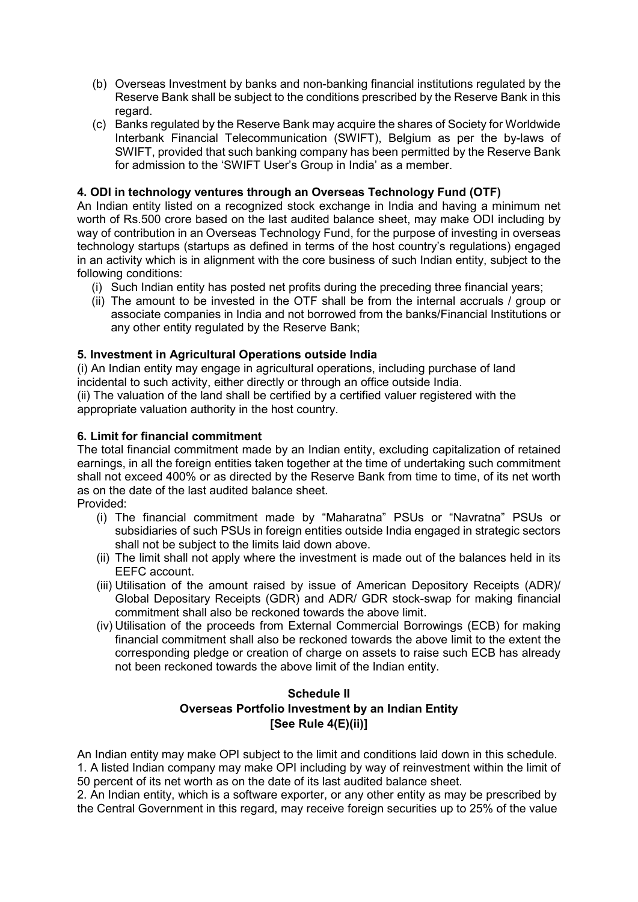- (b) Overseas Investment by banks and non-banking financial institutions regulated by the Reserve Bank shall be subject to the conditions prescribed by the Reserve Bank in this regard.
- (c) Banks regulated by the Reserve Bank may acquire the shares of Society for Worldwide Interbank Financial Telecommunication (SWIFT), Belgium as per the by-laws of SWIFT, provided that such banking company has been permitted by the Reserve Bank for admission to the 'SWIFT User's Group in India' as a member.

# **4. ODI in technology ventures through an Overseas Technology Fund (OTF)**

An Indian entity listed on a recognized stock exchange in India and having a minimum net worth of Rs.500 crore based on the last audited balance sheet, may make ODI including by way of contribution in an Overseas Technology Fund, for the purpose of investing in overseas technology startups (startups as defined in terms of the host country's regulations) engaged in an activity which is in alignment with the core business of such Indian entity, subject to the following conditions:

- (i) Such Indian entity has posted net profits during the preceding three financial years;
- (ii) The amount to be invested in the OTF shall be from the internal accruals / group or associate companies in India and not borrowed from the banks/Financial Institutions or any other entity regulated by the Reserve Bank;

## **5. Investment in Agricultural Operations outside India**

(i) An Indian entity may engage in agricultural operations, including purchase of land incidental to such activity, either directly or through an office outside India.

(ii) The valuation of the land shall be certified by a certified valuer registered with the appropriate valuation authority in the host country.

### **6. Limit for financial commitment**

The total financial commitment made by an Indian entity, excluding capitalization of retained earnings, in all the foreign entities taken together at the time of undertaking such commitment shall not exceed 400% or as directed by the Reserve Bank from time to time, of its net worth as on the date of the last audited balance sheet.

Provided:

- (i) The financial commitment made by "Maharatna" PSUs or "Navratna" PSUs or subsidiaries of such PSUs in foreign entities outside India engaged in strategic sectors shall not be subject to the limits laid down above.
- (ii) The limit shall not apply where the investment is made out of the balances held in its EEFC account.
- (iii) Utilisation of the amount raised by issue of American Depository Receipts (ADR)/ Global Depositary Receipts (GDR) and ADR/ GDR stock-swap for making financial commitment shall also be reckoned towards the above limit.
- (iv) Utilisation of the proceeds from External Commercial Borrowings (ECB) for making financial commitment shall also be reckoned towards the above limit to the extent the corresponding pledge or creation of charge on assets to raise such ECB has already not been reckoned towards the above limit of the Indian entity.

# **Schedule II Overseas Portfolio Investment by an Indian Entity [See Rule 4(E)(ii)]**

An Indian entity may make OPI subject to the limit and conditions laid down in this schedule. 1. A listed Indian company may make OPI including by way of reinvestment within the limit of 50 percent of its net worth as on the date of its last audited balance sheet.

2. An Indian entity, which is a software exporter, or any other entity as may be prescribed by the Central Government in this regard, may receive foreign securities up to 25% of the value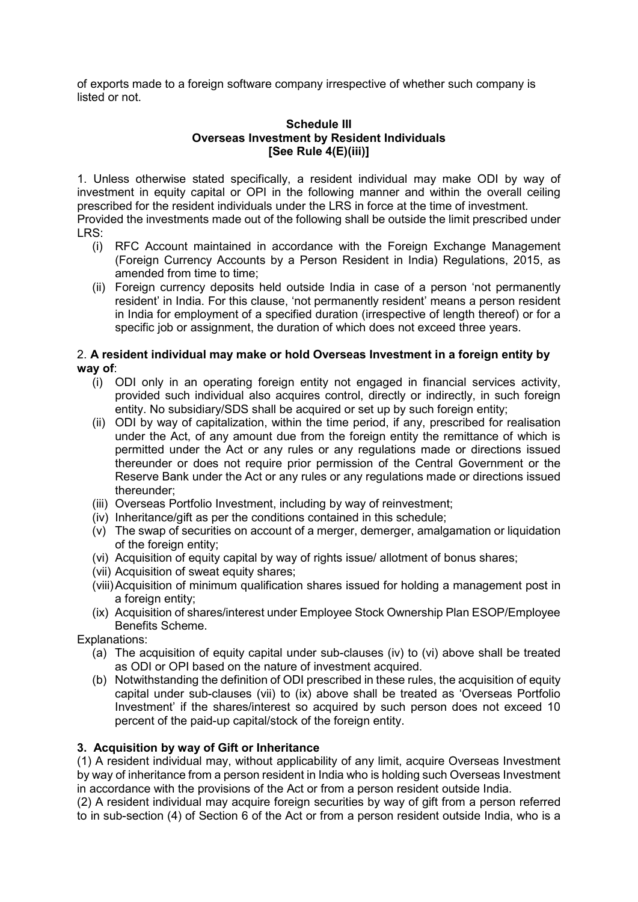of exports made to a foreign software company irrespective of whether such company is listed or not.

#### **Schedule III Overseas Investment by Resident Individuals [See Rule 4(E)(iii)]**

1. Unless otherwise stated specifically, a resident individual may make ODI by way of investment in equity capital or OPI in the following manner and within the overall ceiling prescribed for the resident individuals under the LRS in force at the time of investment. Provided the investments made out of the following shall be outside the limit prescribed under

- LRS:
	- (i) RFC Account maintained in accordance with the Foreign Exchange Management (Foreign Currency Accounts by a Person Resident in India) Regulations, 2015, as amended from time to time:
	- (ii) Foreign currency deposits held outside India in case of a person 'not permanently resident' in India. For this clause, 'not permanently resident' means a person resident in India for employment of a specified duration (irrespective of length thereof) or for a specific job or assignment, the duration of which does not exceed three years.

### 2. **A resident individual may make or hold Overseas Investment in a foreign entity by way of**:

- (i) ODI only in an operating foreign entity not engaged in financial services activity, provided such individual also acquires control, directly or indirectly, in such foreign entity. No subsidiary/SDS shall be acquired or set up by such foreign entity;
- (ii) ODI by way of capitalization, within the time period, if any, prescribed for realisation under the Act, of any amount due from the foreign entity the remittance of which is permitted under the Act or any rules or any regulations made or directions issued thereunder or does not require prior permission of the Central Government or the Reserve Bank under the Act or any rules or any regulations made or directions issued thereunder;
- (iii) Overseas Portfolio Investment, including by way of reinvestment;
- (iv) Inheritance/gift as per the conditions contained in this schedule;
- (v) The swap of securities on account of a merger, demerger, amalgamation or liquidation of the foreign entity;
- (vi) Acquisition of equity capital by way of rights issue/ allotment of bonus shares;
- (vii) Acquisition of sweat equity shares;
- (viii)Acquisition of minimum qualification shares issued for holding a management post in a foreign entity;
- (ix) Acquisition of shares/interest under Employee Stock Ownership Plan ESOP/Employee Benefits Scheme.

Explanations:

- (a) The acquisition of equity capital under sub-clauses (iv) to (vi) above shall be treated as ODI or OPI based on the nature of investment acquired.
- (b) Notwithstanding the definition of ODI prescribed in these rules, the acquisition of equity capital under sub-clauses (vii) to (ix) above shall be treated as 'Overseas Portfolio Investment' if the shares/interest so acquired by such person does not exceed 10 percent of the paid-up capital/stock of the foreign entity.

# **3. Acquisition by way of Gift or Inheritance**

(1) A resident individual may, without applicability of any limit, acquire Overseas Investment by way of inheritance from a person resident in India who is holding such Overseas Investment in accordance with the provisions of the Act or from a person resident outside India.

(2) A resident individual may acquire foreign securities by way of gift from a person referred to in sub-section (4) of Section 6 of the Act or from a person resident outside India, who is a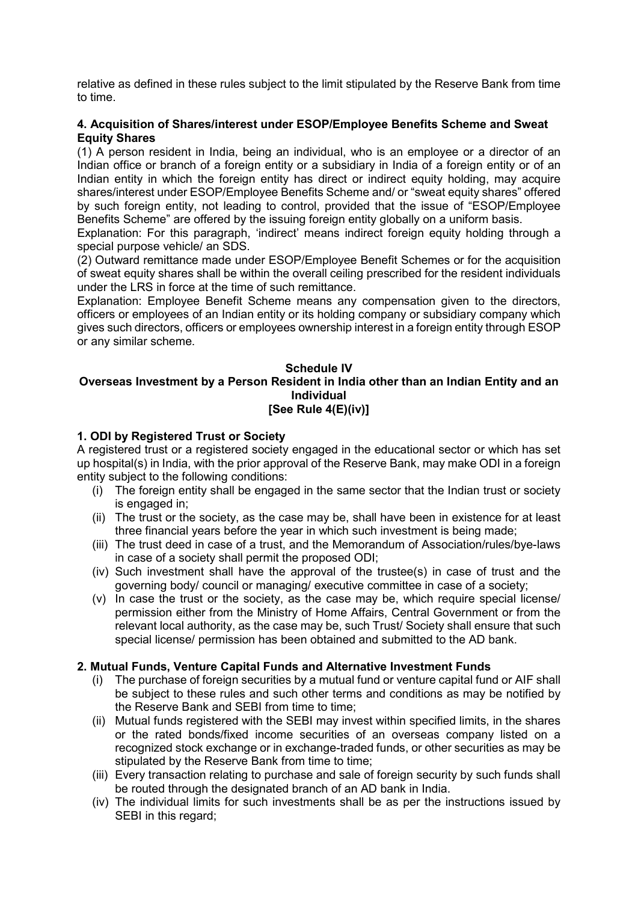relative as defined in these rules subject to the limit stipulated by the Reserve Bank from time to time.

#### **4. Acquisition of Shares/interest under ESOP/Employee Benefits Scheme and Sweat Equity Shares**

(1) A person resident in India, being an individual, who is an employee or a director of an Indian office or branch of a foreign entity or a subsidiary in India of a foreign entity or of an Indian entity in which the foreign entity has direct or indirect equity holding, may acquire shares/interest under ESOP/Employee Benefits Scheme and/ or "sweat equity shares" offered by such foreign entity, not leading to control, provided that the issue of "ESOP/Employee Benefits Scheme" are offered by the issuing foreign entity globally on a uniform basis.

Explanation: For this paragraph, 'indirect' means indirect foreign equity holding through a special purpose vehicle/ an SDS.

(2) Outward remittance made under ESOP/Employee Benefit Schemes or for the acquisition of sweat equity shares shall be within the overall ceiling prescribed for the resident individuals under the LRS in force at the time of such remittance.

Explanation: Employee Benefit Scheme means any compensation given to the directors, officers or employees of an Indian entity or its holding company or subsidiary company which gives such directors, officers or employees ownership interest in a foreign entity through ESOP or any similar scheme.

#### **Schedule IV Overseas Investment by a Person Resident in India other than an Indian Entity and an Individual [See Rule 4(E)(iv)]**

### **1. ODI by Registered Trust or Society**

A registered trust or a registered society engaged in the educational sector or which has set up hospital(s) in India, with the prior approval of the Reserve Bank, may make ODI in a foreign entity subject to the following conditions:

- (i) The foreign entity shall be engaged in the same sector that the Indian trust or society is engaged in;
- (ii) The trust or the society, as the case may be, shall have been in existence for at least three financial years before the year in which such investment is being made;
- (iii) The trust deed in case of a trust, and the Memorandum of Association/rules/bye-laws in case of a society shall permit the proposed ODI;
- (iv) Such investment shall have the approval of the trustee(s) in case of trust and the governing body/ council or managing/ executive committee in case of a society;
- (v) In case the trust or the society, as the case may be, which require special license/ permission either from the Ministry of Home Affairs, Central Government or from the relevant local authority, as the case may be, such Trust/ Society shall ensure that such special license/ permission has been obtained and submitted to the AD bank.

### **2. Mutual Funds, Venture Capital Funds and Alternative Investment Funds**

- (i) The purchase of foreign securities by a mutual fund or venture capital fund or AIF shall be subject to these rules and such other terms and conditions as may be notified by the Reserve Bank and SEBI from time to time;
- (ii) Mutual funds registered with the SEBI may invest within specified limits, in the shares or the rated bonds/fixed income securities of an overseas company listed on a recognized stock exchange or in exchange-traded funds, or other securities as may be stipulated by the Reserve Bank from time to time;
- (iii) Every transaction relating to purchase and sale of foreign security by such funds shall be routed through the designated branch of an AD bank in India.
- (iv) The individual limits for such investments shall be as per the instructions issued by SEBI in this regard;